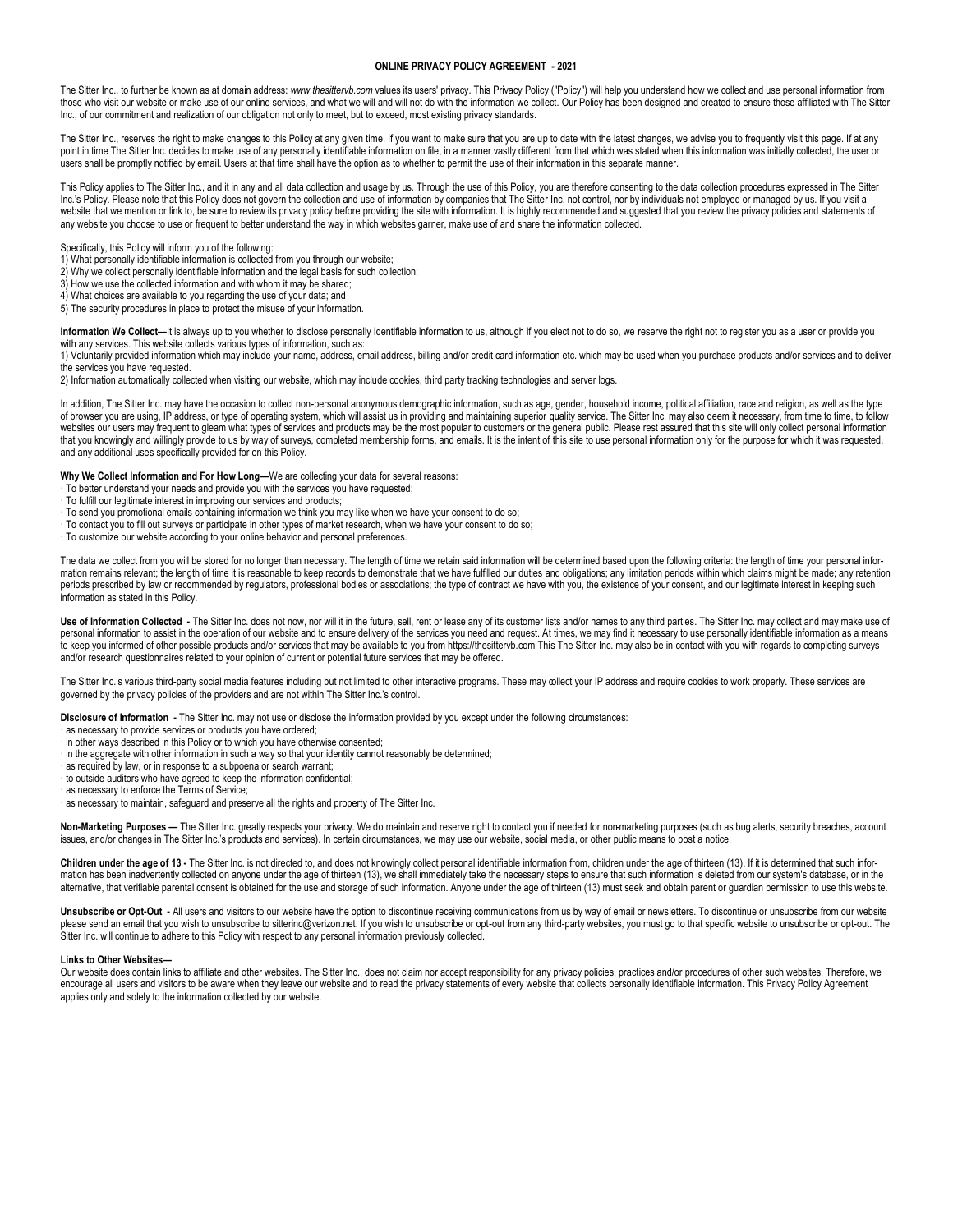## **ONLINE PRIVACY POLICY AGREEMENT - 2021**

The Sitter Inc., to further be known as at domain address: *www.thesittervb.com* values its users' privacy. This Privacy Policy ("Policy") will help you understand how we collect and use personal information from those who visit our website or make use of our online services, and what we will and will not do with the information we collect. Our Policy has been designed and created to ensure those affiliated with The Sitter Inc., of our commitment and realization of our obligation not only to meet, but to exceed, most existing privacy standards.

The Sitter Inc., reserves the right to make changes to this Policy at any given time. If you want to make sure that you are up to date with the latest changes, we advise you to frequently visit this page. If at any point in time The Sitter Inc. decides to make use of any personally identifiable information on file, in a manner vastly different from that which was stated when this information was initially collected, the user or users shall be promptly notified by email. Users at that time shall have the option as to whether to permit the use of their information in this separate manner.

This Policy applies to The Sitter Inc., and it in any and all data collection and usage by us. Through the use of this Policy, you are therefore consenting to the data collection procedures expressed in The Sitter Inc.'s Policy. Please note that this Policy does not govern the collection and use of information by companies that The Sitter Inc. not control, nor by individuals not employed or managed by us. If you visit a website that we mention or link to, be sure to review its privacy policy before providing the site with information. It is highly recommended and suggested that you review the privacy policies and statements of any website you choose to use or frequent to better understand the way in which websites garner, make use of and share the information collected.

- Specifically, this Policy will inform you of the following: 1) What personally identifiable information is collected from you through our website;
- 2) Why we collect personally identifiable information and the legal basis for such collection;
- 3) How we use the collected information and with whom it may be shared;
- 4) What choices are available to you regarding the use of your data; and
- 5) The security procedures in place to protect the misuse of your information.

Information We Collect—It is always up to you whether to disclose personally identifiable information to us, although if you elect not to do so, we reserve the right not to register you as a user or provide you with any services. This website collects various types of information, such as:

1) Voluntarily provided information which may include your name, address, email address, billing and/or credit card information etc. which may be used when you purchase products and/or services and to deliver the services you have requested.

2) Information automatically collected when visiting our website, which may include cookies, third party tracking technologies and server logs.

In addition, The Sitter Inc. may have the occasion to collect non-personal anonymous demographic information, such as age, gender, household income, political affiliation, race and religion, as well as the type of browser you are using, IP address, or type of operating system, which will assist us in providing and maintaining superior quality service. The Sitter Inc. may also deem it necessary, from time to time, to follow websites our users may frequent to gleam what types of services and products may be the most popular to customers or the general public. Please rest assured that this site will only collect personal information that you knowingly and willingly provide to us by way of surveys, completed membership forms, and emails. It is the intent of this site to use personal information only for the purpose for which it was requested, and any additional uses specifically provided for on this Policy.

**Why We Collect Information and For How Long—**We are collecting your data for several reasons:

- · To better understand your needs and provide you with the services you have requested;
- · To fulfill our legitimate interest in improving our services and products;
- · To send you promotional emails containing information we think you may like when we have your consent to do so;
- · To contact you to fill out surveys or participate in other types of market research, when we have your consent to do so;
- · To customize our website according to your online behavior and personal preferences.

The data we collect from you will be stored for no longer than necessary. The length of time we retain said information will be determined based upon the following criteria: the length of time your personal information remains relevant; the length of time it is reasonable to keep records to demonstrate that we have fulfilled our duties and obligations; any limitation periods within which claims might be made; any retention periods prescribed by law or recommended by regulators, professional bodies or associations; the type of contract we have with you, the existence of your consent, and our legitimate interest in keeping such information as stated in this Policy.

Use of Information Collected - The Sitter Inc. does not now, nor will it in the future, sell, rent or lease any of its customer lists and/or names to any third parties. The Sitter Inc. may collect and may make use of personal information to assist in the operation of our website and to ensure delivery of the services you need and request. At times, we may find it necessary to use personally identifiable information as a means to keep you informed of other possible products and/or services that may be available to you from https://thesittervb.com This The Sitter Inc. may also be in contact with you with regards to completing surveys and/or research questionnaires related to your opinion of current or potential future services that may be offered.

The Sitter Inc.'s various third-party social media features including but not limited to other interactive programs. These may collect your IP address and require cookies to work properly. These services are governed by the privacy policies of the providers and are not within The Sitter Inc.'s control.

**Disclosure of Information -** The Sitter Inc. may not use or disclose the information provided by you except under the following circumstances:

- · as necessary to provide services or products you have ordered;
- · in other ways described in this Policy or to which you have otherwise consented;
- · in the aggregate with other information in such a way so that your identity cannot reasonably be determined;
- · as required by law, or in response to a subpoena or search warrant;
- · to outside auditors who have agreed to keep the information confidential;
- · as necessary to enforce the Terms of Service;

· as necessary to maintain, safeguard and preserve all the rights and property of The Sitter Inc.

Non-Marketing Purposes - The Sitter Inc. greatly respects your privacy. We do maintain and reserve right to contact you if needed for non-marketing purposes (such as bug alerts, security breaches, account issues, and/or changes in The Sitter Inc.'s products and services). In certain circumstances, we may use our website, social media, or other public means to post a notice.

Children under the age of 13 - The Sitter Inc. is not directed to, and does not knowingly collect personal identifiable information from, children under the age of thirteen (13). If it is determined that such information has been inadvertently collected on anyone under the age of thirteen (13), we shall immediately take the necessary steps to ensure that such information is deleted from our system's database, or in the alternative, that verifiable parental consent is obtained for the use and storage of such information. Anyone under the age of thirteen (13) must seek and obtain parent or guardian permission to use this website.

Unsubscribe or Opt-Out - All users and visitors to our website have the option to discontinue receiving communications from us by way of email or newsletters. To discontinue or unsubscribe from our website please send an email that you wish to unsubscribe to sitterinc@verizon.net. If you wish to unsubscribe or opt-out from any third-party websites, you must go to that specific website to unsubscribe or opt-out. The Sitter Inc. will continue to adhere to this Policy with respect to any personal information previously collected.

## **Links to Other Websites—**

Our website does contain links to affiliate and other websites. The Sitter Inc., does not claim nor accept responsibility for any privacy policies, practices and/or procedures of other such websites. Therefore, we encourage all users and visitors to be aware when they leave our website and to read the privacy statements of every website that collects personally identifiable information. This Privacy Policy Agreement applies only and solely to the information collected by our website.